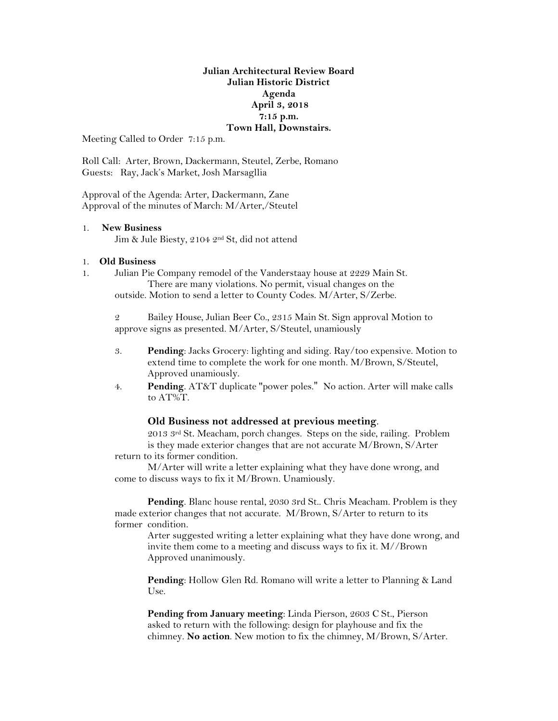# **Julian Architectural Review Board Julian Historic District Agenda April 3, 2018 7:15 p.m. Town Hall, Downstairs.**

Meeting Called to Order 7:15 p.m.

Roll Call: Arter, Brown, Dackermann, Steutel, Zerbe, Romano Guests: Ray, Jack's Market, Josh Marsagllia

Approval of the Agenda: Arter, Dackermann, Zane Approval of the minutes of March: M/Arter,/Steutel

#### 1. **New Business**

Jim & Jule Biesty, 2104 2nd St, did not attend

### 1. **Old Business**

1. Julian Pie Company remodel of the Vanderstaay house at 2229 Main St. There are many violations. No permit, visual changes on the outside. Motion to send a letter to County Codes. M/Arter, S/Zerbe.

2 Bailey House, Julian Beer Co., 2315 Main St. Sign approval Motion to approve signs as presented. M/Arter, S/Steutel, unamiously

- 3. **Pending**: Jacks Grocery: lighting and siding. Ray/too expensive. Motion to extend time to complete the work for one month. M/Brown, S/Steutel, Approved unamiously.
- 4. **Pending**. AT&T duplicate "power poles." No action. Arter will make calls to AT%T.

### **Old Business not addressed at previous meeting**.

2013 3rd St. Meacham, porch changes. Steps on the side, railing. Problem is they made exterior changes that are not accurate M/Brown, S/Arter return to its former condition.

M/Arter will write a letter explaining what they have done wrong, and come to discuss ways to fix it M/Brown. Unamiously.

**Pending**. Blanc house rental, 2030 3rd St.. Chris Meacham. Problem is they made exterior changes that not accurate. M/Brown, S/Arter to return to its former condition.

Arter suggested writing a letter explaining what they have done wrong, and invite them come to a meeting and discuss ways to fix it. M//Brown Approved unanimously.

**Pending**: Hollow Glen Rd. Romano will write a letter to Planning & Land Use.

**Pending from January meeting**: Linda Pierson, 2603 C St., Pierson asked to return with the following: design for playhouse and fix the chimney. **No action**. New motion to fix the chimney, M/Brown, S/Arter.